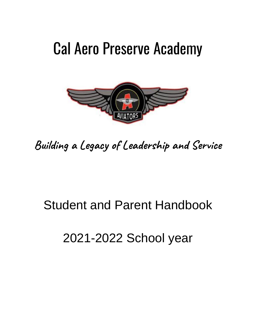# Cal Aero Preserve Academy



**Building a Legacy of Leadership and Service**

## Student and Parent Handbook

## 2021-2022 School year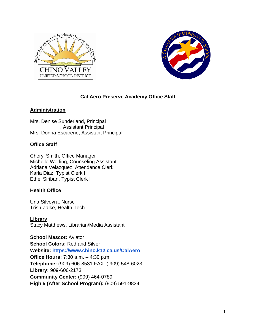



#### **Cal Aero Preserve Academy Office Staff**

#### **Administration**

Mrs. Denise Sunderland, Principal , Assistant Principal Mrs. Donna Escareno, Assistant Principal

#### **Office Staff**

Cheryl Smith, Office Manager Michelle Werling, Counseling Assistant Adriana Velazquez, Attendance Clerk Karla Diaz, Typist Clerk II Ethel Siriban, Typist Clerk I

#### **Health Office**

Una Silveyra, Nurse Trish Zalke, Health Tech

**Library** Stacy Matthews, Librarian/Media Assistant

**School Mascot:** Aviator **School Colors:** Red and Silver **Website:<https://www.chino.k12.ca.us/CalAero> Office Hours:** 7:30 a.m. – 4:30 p.m. **Telephone:** (909) 606-8531 FAX :( 909) 548-6023 **Library:** 909-606-2173 **Community Center:** (909) 464-0789 **High 5 (After School Program):** (909) 591-9834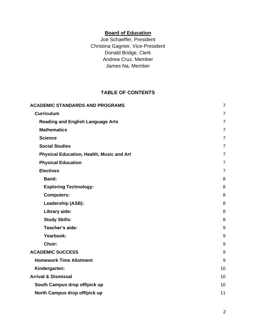## **Board of Education**

Joe Schaeffer, President Christina Gagnier, Vice-President Donald Bridge, Clerk Andrew Cruz, Member James Na, Member

## **TABLE OF CONTENTS**

| <b>ACADEMIC STANDARDS AND PROGRAMS</b>           | $\overline{7}$ |
|--------------------------------------------------|----------------|
| <b>Curriculum</b>                                | $\overline{7}$ |
| <b>Reading and English Language Arts</b>         | $\overline{7}$ |
| <b>Mathematics</b>                               | $\overline{7}$ |
| <b>Science</b>                                   | $\overline{7}$ |
| <b>Social Studies</b>                            | $\overline{7}$ |
| <b>Physical Education, Health, Music and Art</b> | $\overline{7}$ |
| <b>Physical Education</b>                        | $\overline{7}$ |
| <b>Electives</b>                                 | $\overline{7}$ |
| <b>Band:</b>                                     | 8              |
| <b>Exploring Technology:</b>                     | 8              |
| <b>Computers:</b>                                | 8              |
| Leadership (ASB):                                | 8              |
| Library aide:                                    | 8              |
| <b>Study Skills:</b>                             | 8              |
| Teacher's aide:                                  | 9              |
| Yearbook:                                        | 9              |
| Choir:                                           | 9              |
| <b>ACADEMIC SUCCESS</b>                          | 9              |
| <b>Homework Time Allotment</b>                   | 9              |
| Kindergarten:                                    | 10             |
| <b>Arrival &amp; Dismissal</b>                   | 10             |
| South Campus drop off/pick up                    | 10             |
| North Campus drop off/pick up                    | 11             |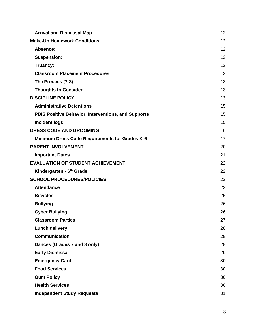| <b>Arrival and Dismissal Map</b>                    | 12 |
|-----------------------------------------------------|----|
| <b>Make-Up Homework Conditions</b>                  | 12 |
| Absence:                                            | 12 |
| <b>Suspension:</b>                                  | 12 |
| Truancy:                                            | 13 |
| <b>Classroom Placement Procedures</b>               | 13 |
| The Process (7-8)                                   | 13 |
| <b>Thoughts to Consider</b>                         | 13 |
| <b>DISCIPLINE POLICY</b>                            | 13 |
| <b>Administrative Detentions</b>                    | 15 |
| PBIS Positive Behavior, Interventions, and Supports | 15 |
| <b>Incident logs</b>                                | 15 |
| <b>DRESS CODE AND GROOMING</b>                      | 16 |
| Minimum Dress Code Requirements for Grades K-6      | 17 |
| <b>PARENT INVOLVEMENT</b>                           | 20 |
| <b>Important Dates</b>                              | 21 |
| <b>EVALUATION OF STUDENT ACHIEVEMENT</b>            | 22 |
| Kindergarten - 6 <sup>th</sup> Grade                | 22 |
| <b>SCHOOL PROCEDURES/POLICIES</b>                   | 23 |
| <b>Attendance</b>                                   | 23 |
| <b>Bicycles</b>                                     | 25 |
| <b>Bullying</b>                                     | 26 |
| <b>Cyber Bullying</b>                               | 26 |
| <b>Classroom Parties</b>                            | 27 |
| <b>Lunch delivery</b>                               | 28 |
| <b>Communication</b>                                | 28 |
| Dances (Grades 7 and 8 only)                        | 28 |
| <b>Early Dismissal</b>                              | 29 |
| <b>Emergency Card</b>                               | 30 |
| <b>Food Services</b>                                | 30 |
| <b>Gum Policy</b>                                   | 30 |
| <b>Health Services</b>                              | 30 |
| <b>Independent Study Requests</b>                   | 31 |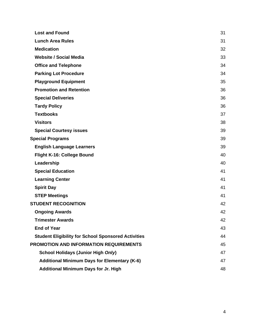| <b>Lost and Found</b>                                      | 31 |
|------------------------------------------------------------|----|
| <b>Lunch Area Rules</b>                                    | 31 |
| <b>Medication</b>                                          | 32 |
| <b>Website / Social Media</b>                              | 33 |
| <b>Office and Telephone</b>                                | 34 |
| <b>Parking Lot Procedure</b>                               | 34 |
| <b>Playground Equipment</b>                                | 35 |
| <b>Promotion and Retention</b>                             | 36 |
| <b>Special Deliveries</b>                                  | 36 |
| <b>Tardy Policy</b>                                        | 36 |
| <b>Textbooks</b>                                           | 37 |
| <b>Visitors</b>                                            | 38 |
| <b>Special Courtesy issues</b>                             | 39 |
| <b>Special Programs</b>                                    | 39 |
| <b>English Language Learners</b>                           | 39 |
| Flight K-16: College Bound                                 | 40 |
| Leadership                                                 | 40 |
| <b>Special Education</b>                                   | 41 |
| <b>Learning Center</b>                                     | 41 |
| <b>Spirit Day</b>                                          | 41 |
| <b>STEP Meetings</b>                                       | 41 |
| <b>STUDENT RECOGNITION</b>                                 | 42 |
| <b>Ongoing Awards</b>                                      | 42 |
| <b>Trimester Awards</b>                                    | 42 |
| <b>End of Year</b>                                         | 43 |
| <b>Student Eligibility for School Sponsored Activities</b> | 44 |
| <b>PROMOTION AND INFORMATION REQUIREMENTS</b>              | 45 |
| <b>School Holidays (Junior High Only)</b>                  | 47 |
| <b>Additional Minimum Days for Elementary (K-6)</b>        | 47 |
| <b>Additional Minimum Days for Jr. High</b>                | 48 |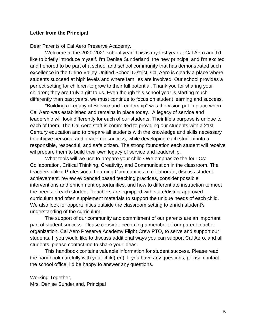#### **Letter from the Principal**

Dear Parents of Cal Aero Preserve Academy,

Welcome to the 2020-2021 school year! This is my first year at Cal Aero and I'd like to briefly introduce myself. I'm Denise Sunderland, the new principal and I'm excited and honored to be part of a school and school community that has demonstrated such excellence in the Chino Valley Unified School District. Cal Aero is clearly a place where students succeed at high levels and where families are involved. Our school provides a perfect setting for children to grow to their full potential. Thank you for sharing your children; they are truly a gift to us. Even though this school year is starting much differently than past years, we must continue to focus on student learning and success.

"Building a Legacy of Service and Leadership" was the vision put in place when Cal Aero was established and remains in place today. A legacy of service and leadership will look differently for each of our students. Their life's purpose is unique to each of them. The Cal Aero staff is committed to providing our students with a 21st Century education and to prepare all students with the knowledge and skills necessary to achieve personal and academic success, while developing each student into a responsible, respectful, and safe citizen. The strong foundation each student will receive wil prepare them to build their own legacy of service and leadership.

What tools will we use to prepare your child? We emphasize the four Cs: Collaboration, Critical Thinking, Creativity, and Communication in the classroom. The teachers utilize Professional Learning Communities to collaborate, discuss student achievement, review evidenced based teaching practices, consider possible interventions and enrichment opportunities, and how to differentiate instruction to meet the needs of each student. Teachers are equipped with state/district approved curriculum and often supplement materials to support the unique needs of each child. We also look for opportunities outside the classroom setting to enrich student's understanding of the curriculum.

The support of our community and commitment of our parents are an important part of student success. Please consider becoming a member of our parent teacher organization, Cal Aero Preserve Academy Flight Crew PTO, to serve and support our students. If you would like to discuss additional ways you can support Cal Aero, and all students, please contact me to share your ideas.

This handbook contains valuable information for student success. Please read the handbook carefully with your child(ren). If you have any questions, please contact the school office. I'd be happy to answer any questions.

Working Together, Mrs. Denise Sunderland, Principal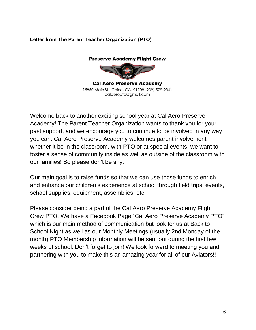## **Letter from The Parent Teacher Organization (PTO)**

#### **Preserve Academy Flight Crew**



**Cal Aero Preserve Academy** 15850 Main St. Chino, CA. 91708 (909) 529-2341 calaeropto@gmail.com

Welcome back to another exciting school year at Cal Aero Preserve Academy! The Parent Teacher Organization wants to thank you for your past support, and we encourage you to continue to be involved in any way you can. Cal Aero Preserve Academy welcomes parent involvement whether it be in the classroom, with PTO or at special events, we want to foster a sense of community inside as well as outside of the classroom with our families! So please don't be shy.

Our main goal is to raise funds so that we can use those funds to enrich and enhance our children's experience at school through field trips, events, school supplies, equipment, assemblies, etc.

Please consider being a part of the Cal Aero Preserve Academy Flight Crew PTO. We have a Facebook Page "Cal Aero Preserve Academy PTO" which is our main method of communication but look for us at Back to School Night as well as our Monthly Meetings (usually 2nd Monday of the month) PTO Membership information will be sent out during the first few weeks of school. Don't forget to join! We look forward to meeting you and partnering with you to make this an amazing year for all of our Aviators!!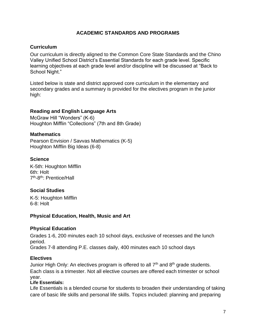#### **ACADEMIC STANDARDS AND PROGRAMS**

#### <span id="page-7-1"></span><span id="page-7-0"></span>**Curriculum**

Our curriculum is directly aligned to the Common Core State Standards and the Chino Valley Unified School District's Essential Standards for each grade level. Specific learning objectives at each grade level and/or discipline will be discussed at "Back to School Night."

Listed below is state and district approved core curriculum in the elementary and secondary grades and a summary is provided for the electives program in the junior high:

#### <span id="page-7-2"></span>**Reading and English Language Arts**

McGraw Hill "Wonders" (K-6) Houghton Mifflin "Collections" (7th and 8th Grade)

#### <span id="page-7-3"></span>**Mathematics**

Pearson Envision / Savvas Mathematics (K-5) Houghton Mifflin Big Ideas (6-8)

#### <span id="page-7-4"></span>**Science**

K-5th: Houghton Mifflin 6th: Holt 7<sup>th</sup>-8<sup>th</sup>: Prentice/Hall

#### <span id="page-7-5"></span>**Social Studies**

K-5: Houghton Mifflin 6-8: Holt

#### <span id="page-7-6"></span>**Physical Education, Health, Music and Art**

#### <span id="page-7-7"></span>**Physical Education**

Grades 1-6, 200 minutes each 10 school days, exclusive of recesses and the lunch period. Grades 7-8 attending P.E. classes daily, 400 minutes each 10 school days

#### <span id="page-7-8"></span>**Electives**

Junior High Only: An electives program is offered to all 7<sup>th</sup> and 8<sup>th</sup> grade students. Each class is a trimester. Not all elective courses are offered each trimester or school year.

#### **Life Essentials:**

Life Essentials is a blended course for students to broaden their understanding of taking care of basic life skills and personal life skills. Topics included: planning and preparing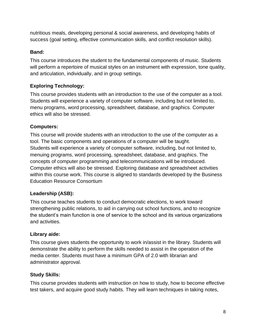nutritious meals, developing personal & social awareness, and developing habits of success (goal setting, effective communication skills, and conflict resolution skills).

## <span id="page-8-0"></span>**Band:**

This course introduces the student to the fundamental components of music. Students will perform a repertoire of musical styles on an instrument with expression, tone quality, and articulation, individually, and in group settings.

## <span id="page-8-1"></span>**Exploring Technology:**

This course provides students with an introduction to the use of the computer as a tool. Students will experience a variety of computer software, including but not limited to, menu programs, word processing, spreadsheet, database, and graphics. Computer ethics will also be stressed.

## <span id="page-8-2"></span>**Computers:**

This course will provide students with an introduction to the use of the computer as a tool. The basic components and operations of a computer will be taught. Students will experience a variety of computer software, including, but not limited to, menuing programs, word processing, spreadsheet, database, and graphics. The concepts of computer programming and telecommunications will be introduced. Computer ethics will also be stressed. Exploring database and spreadsheet activities within this course work. This course is aligned to standards developed by the Business Education Resource Consortium

## <span id="page-8-3"></span>**Leadership (ASB):**

This course teaches students to conduct democratic elections, to work toward strengthening public relations, to aid in carrying out school functions, and to recognize the student's main function is one of service to the school and its various organizations and activities.

#### <span id="page-8-4"></span>**Library aide:**

This course gives students the opportunity to work in/assist in the library. Students will demonstrate the ability to perform the skills needed to assist in the operation of the media center. Students must have a minimum GPA of 2.0 with librarian and administrator approval.

#### <span id="page-8-5"></span>**Study Skills:**

This course provides students with instruction on how to study, how to become effective test takers, and acquire good study habits. They will learn techniques in taking notes,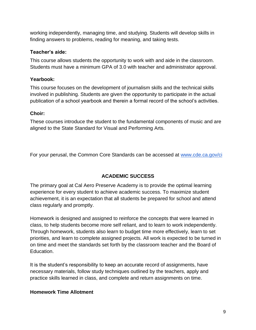working independently, managing time, and studying. Students will develop skills in finding answers to problems, reading for meaning, and taking tests.

#### <span id="page-9-0"></span>**Teacher's aide:**

This course allows students the opportunity to work with and aide in the classroom. Students must have a minimum GPA of 3.0 with teacher and administrator approval.

## <span id="page-9-1"></span>**Yearbook:**

This course focuses on the development of journalism skills and the technical skills involved in publishing. Students are given the opportunity to participate in the actual publication of a school yearbook and therein a formal record of the school's activities.

## <span id="page-9-2"></span>**Choir:**

These courses introduce the student to the fundamental components of music and are aligned to the State Standard for Visual and Performing Arts.

<span id="page-9-3"></span>For your perusal, the Common Core Standards can be accessed a[t](http://www.cde.ca.gov/ci) [www.cde.ca.gov/ci](http://www.cde.ca.gov/ci)

## **ACADEMIC SUCCESS**

The primary goal at Cal Aero Preserve Academy is to provide the optimal learning experience for every student to achieve academic success. To maximize student achievement, it is an expectation that all students be prepared for school and attend class regularly and promptly.

Homework is designed and assigned to reinforce the concepts that were learned in class, to help students become more self reliant, and to learn to work independently. Through homework, students also learn to budget time more effectively, learn to set priorities, and learn to complete assigned projects. All work is expected to be turned in on time and meet the standards set forth by the classroom teacher and the Board of Education.

It is the student's responsibility to keep an accurate record of assignments, have necessary materials, follow study techniques outlined by the teachers, apply and practice skills learned in class, and complete and return assignments on time.

## <span id="page-9-4"></span>**Homework Time Allotment**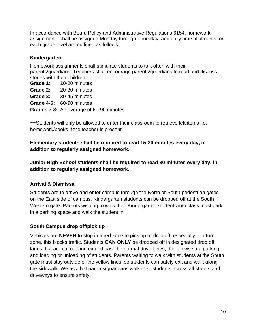In accordance with Board Policy and Administrative Regulations 6154, homework assignments shall be assigned Monday through Thursday, and daily time allotments for each grade level are outlined as follows:

#### <span id="page-10-0"></span>**Kindergarten:**

Homework assignments shall stimulate students to talk often with their parents/guardians. Teachers shall encourage parents/guardians to read and discuss stories with their children.

**Grade 1:** 10-20 minutes **Grade 2:** 20-30 minutes **Grade 3:** 30-45 minutes **Grade 4-6:** 60-90 minutes **Grades 7-8:** An average of 60-90 minutes

\*\*\*Students will only be allowed to enter their classroom to retrieve left items i.e. homework/books if the teacher is present.

**Elementary students shall be required to read 15-20 minutes every day, in addition to regularly assigned homework.**

**Junior High School students shall be required to read 30 minutes every day, in addition to regularly assigned homework.**

#### <span id="page-10-1"></span>**Arrival & Dismissal**

Students are to arrive and enter campus through the North or South pedestrian gates on the East side of campus. Kindergarten students can be dropped off at the South Western gate. Parents wishing to walk their Kindergarten students into class must park in a parking space and walk the student in.

#### <span id="page-10-2"></span>**South Campus drop off/pick up**

Vehicles are **NEVER** to stop in a red zone to pick up or drop off, especially in a turn zone, this blocks traffic. Students **CAN ONLY** be dropped off in designated drop off lanes that are cut out and extend past the normal drive lanes, this allows safe parking and loading or unloading of students. Parents waiting to walk with students at the South gate must stay outside of the yellow lines, so students can safely exit and walk along the sidewalk. We ask that parents/guardians walk their students across all streets and driveways to ensure safety.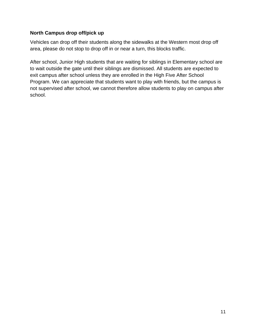## <span id="page-11-0"></span>**North Campus drop off/pick up**

Vehicles can drop off their students along the sidewalks at the Western most drop off area, please do not stop to drop off in or near a turn, this blocks traffic.

After school, Junior High students that are waiting for siblings in Elementary school are to wait outside the gate until their siblings are dismissed. All students are expected to exit campus after school unless they are enrolled in the High Five After School Program. We can appreciate that students want to play with friends, but the campus is not supervised after school, we cannot therefore allow students to play on campus after school.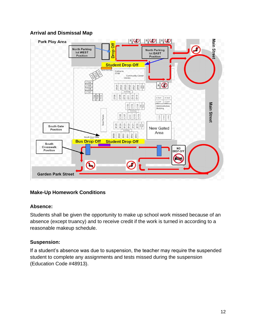## <span id="page-12-0"></span>**Arrival and Dismissal Map**



## <span id="page-12-1"></span>**Make-Up Homework Conditions**

#### <span id="page-12-2"></span>**Absence:**

Students shall be given the opportunity to make up school work missed because of an absence (except truancy) and to receive credit if the work is turned in according to a reasonable makeup schedule.

## <span id="page-12-3"></span>**Suspension:**

If a student's absence was due to suspension, the teacher may require the suspended student to complete any assignments and tests missed during the suspension (Education Code #48913).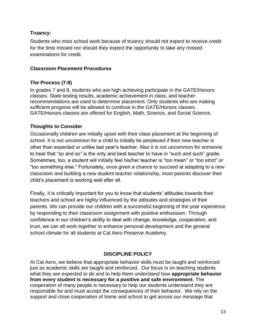## <span id="page-13-0"></span>**Truancy:**

Students who miss school work because of truancy should not expect to receive credit for the time missed nor should they expect the opportunity to take any missed examinations for credit.

#### <span id="page-13-1"></span>**Classroom Placement Procedures**

## <span id="page-13-2"></span>**The Process (7-8)**

In grades 7 and 8, students who are high achieving participate in the GATE/Honors classes. State testing results, academic achievement in class, and teacher recommendations are used to determine placement. Only students who are making sufficient progress will be allowed to continue in the GATE/Honors classes. GATE/Honors classes are offered for English, Math, Science, and Social Science.

## <span id="page-13-3"></span>**Thoughts to Consider**

Occasionally children are initially upset with their class placement at the beginning of school. It is not uncommon for a child to initially be perplexed if their new teacher is other than expected or unlike last year's teacher. Also it is not uncommon for someone to hear that "so and so" is the only and best teacher to have in "such and such" grade. Sometimes, too, a student will initially feel his/her teacher is "too mean" or "too strict" or "too something else." Fortunately, once given a chance to succeed at adapting to a new classroom and building a new student teacher relationship, most parents discover their child's placement is working well after all.

Finally, it is critically important for you to know that students' attitudes towards their teachers and school are highly influenced by the attitudes and strategies of their parents. We can provide our children with a successful beginning of the year experience by responding to their classroom assignment with positive enthusiasm. Through confidence in our children's ability to deal with change, knowledge, cooperation, and trust, we can all work together to enhance personal development and the general school climate for all students at Cal Aero Preserve Academy.

## **DISCIPLINE POLICY**

<span id="page-13-4"></span>At Cal Aero, we believe that appropriate behavior skills must be taught and reinforced just as academic skills are taught and reinforced. Our focus is on teaching students what they are expected to do and to help them understand how **appropriate behavior from every student is necessary for a positive and safe environment**. The cooperation of many people is necessary to help our students understand they are responsible for and must accept the consequences of their behavior. We rely on the support and close cooperation of home and school to get across our message that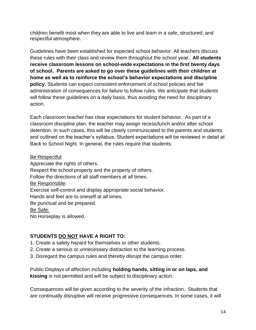children benefit most when they are able to live and learn in a safe, structured, and respectful atmosphere.

Guidelines have been established for expected school behavior. All teachers discuss these rules with their class and review them throughout the school yea**r. All students receive classroom lessons on school-wide expectations in the first twenty days of school. Parents are asked to go over these guidelines with their children at home as well as to reinforce the school's behavior expectations and discipline policy.** Students can expect consistent enforcement of school policies and fair administration of consequences for failure to follow rules. We anticipate that students will follow these guidelines on a daily basis, thus avoiding the need for disciplinary action.

Each classroom teacher has clear expectations for student behavior. As part of a classroom discipline plan, the teacher may assign recess/lunch and/or after school detention. In such cases, this will be clearly communicated to the parents and students and outlined on the teacher's syllabus. Student expectations will be reviewed in detail at Back to School Night. In general, the rules require that students:

Be Respectful:

Appreciate the rights of others. Respect the school property and the property of others. Follow the directions of all staff members at all times. Be Responsible: Exercise self-control and display appropriate social behavior. Hands and feet are to oneself at all times. Be punctual and be prepared. Be Safe: No Horseplay is allowed.

## **STUDENTS DO NOT HAVE A RIGHT TO:**

- 1. Create a safety hazard for themselves or other students.
- 2. Create a serious or unnecessary distraction to the learning process.
- 3. Disregard the campus rules and thereby disrupt the campus order.

Public Displays of affection including **holding hands, sitting in or on laps, and kissing** is not permitted and will be subject to disciplinary action.

Consequences will be given according to the severity of the infraction. Students that are continually disruptive will receive progressive consequences. In some cases, it will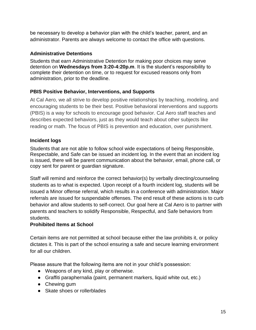be necessary to develop a behavior plan with the child's teacher, parent, and an administrator. Parents are always welcome to contact the office with questions.

## <span id="page-15-0"></span>**Administrative Detentions**

Students that earn Administrative Detention for making poor choices may serve detention on **Wednesdays from 3:20-4:20p.m**. It is the student's responsibility to complete their detention on time, or to request for excused reasons only from administration, prior to the deadline.

## <span id="page-15-1"></span>**PBIS Positive Behavior, Interventions, and Supports**

At Cal Aero, we all strive to develop positive relationships by teaching, modeling, and encouraging students to be their best. Positive behavioral interventions and supports (PBIS) is a way for schools to encourage good behavior. Cal Aero staff teaches and describes expected behaviors, just as they would teach about other subjects like reading or math. The focus of PBIS is prevention and education, over punishment.

## <span id="page-15-2"></span>**Incident logs**

Students that are not able to follow school wide expectations of being Responsible, Respectable, and Safe can be issued an incident log. In the event that an incident log is issued, there will be parent communication about the behavior, email, phone call, or copy sent for parent or guardian signature.

Staff will remind and reinforce the correct behavior(s) by verbally directing/counseling students as to what is expected. Upon receipt of a fourth incident log, students will be issued a Minor offense referral, which results in a conference with administration. Major referrals are issued for suspendable offenses. The end result of these actions is to curb behavior and allow students to self-correct. Our goal here at Cal Aero is to partner with parents and teachers to solidify Responsible, Respectful, and Safe behaviors from students.

## **Prohibited Items at School**

Certain items are not permitted at school because either the law prohibits it, or policy dictates it. This is part of the school ensuring a safe and secure learning environment for all our children.

Please assure that the following items are not in your child's possession:

- Weapons of any kind, play or otherwise.
- Graffiti paraphernalia (paint, permanent markers, liquid white out, etc.)
- Chewing gum
- Skate shoes or rollerblades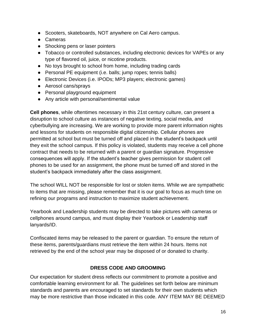- Scooters, skateboards, NOT anywhere on Cal Aero campus.
- Cameras
- Shocking pens or laser pointers
- Tobacco or controlled substances, including electronic devices for VAPEs or any type of flavored oil, juice, or nicotine products.
- No toys brought to school from home, including trading cards
- Personal PE equipment (i.e. balls; jump ropes; tennis balls)
- Electronic Devices (i.e. IPODs; MP3 players; electronic games)
- Aerosol cans/sprays
- Personal playground equipment
- Any article with personal/sentimental value

**Cell phones**, while oftentimes necessary in this 21st century culture, can present a disruption to school culture as instances of negative texting, social media, and cyberbullying are increasing. We are working to provide more parent information nights and lessons for students on responsible digital citizenship. Cellular phones are permitted at school but must be turned off and placed in the student's backpack until they exit the school campus. If this policy is violated, students may receive a cell phone contract that needs to be returned with a parent or guardian signature. Progressive consequences will apply. If the student's teacher gives permission for student cell phones to be used for an assignment, the phone must be turned off and stored in the student's backpack immediately after the class assignment.

The school WILL NOT be responsible for lost or stolen items. While we are sympathetic to items that are missing, please remember that it is our goal to focus as much time on refining our programs and instruction to maximize student achievement.

Yearbook and Leadership students may be directed to take pictures with cameras or cellphones around campus, and must display their Yearbook or Leadership staff lanyards/ID.

Confiscated items may be released to the parent or guardian. To ensure the return of these items, parents/guardians must retrieve the item within 24 hours. Items not retrieved by the end of the school year may be disposed of or donated to charity.

#### **DRESS CODE AND GROOMING**

<span id="page-16-0"></span>Our expectation for student dress reflects our commitment to promote a positive and comfortable learning environment for all. The guidelines set forth below are minimum standards and parents are encouraged to set standards for their own students which may be more restrictive than those indicated in this code. ANY ITEM MAY BE DEEMED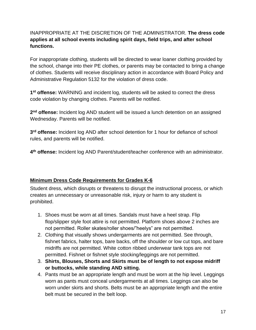## INAPPROPRIATE AT THE DISCRETION OF THE ADMINISTRATOR. **The dress code applies at all school events including spirit days, field trips, and after school functions.**

For inappropriate clothing, students will be directed to wear loaner clothing provided by the school, change into their PE clothes, or parents may be contacted to bring a change of clothes. Students will receive disciplinary action in accordance with Board Policy and Administrative Regulation 5132 for the violation of dress code.

**1 st offense:** WARNING and incident log, students will be asked to correct the dress code violation by changing clothes. Parents will be notified.

**2 nd offense:** Incident log AND student will be issued a lunch detention on an assigned Wednesday. Parents will be notified.

**3 rd offense:** Incident log AND after school detention for 1 hour for defiance of school rules, and parents will be notified.

**4 th offense:** Incident log AND Parent/student/teacher conference with an administrator.

## <span id="page-17-0"></span>**Minimum Dress Code Requirements for Grades K-6**

Student dress, which disrupts or threatens to disrupt the instructional process, or which creates an unnecessary or unreasonable risk, injury or harm to any student is prohibited.

- 1. Shoes must be worn at all times. Sandals must have a heel strap. Flip flop/slipper style foot attire is not permitted. Platform shoes above 2 inches are not permitted. Roller skates/roller shoes/"heelys" are not permitted.
- 2. Clothing that visually shows undergarments are not permitted. See through, fishnet fabrics, halter tops, bare backs, off the shoulder or low cut tops, and bare midriffs are not permitted. White cotton ribbed underwear tank tops are not permitted. Fishnet or fishnet style stocking/leggings are not permitted.
- 3. **Shirts, Blouses, Shorts and Skirts must be of length to not expose midriff or buttocks, while standing AND sitting.**
- 4. Pants must be an appropriate length and must be worn at the hip level. Leggings worn as pants must conceal undergarments at all times. Leggings can also be worn under skirts and shorts. Belts must be an appropriate length and the entire belt must be secured in the belt loop.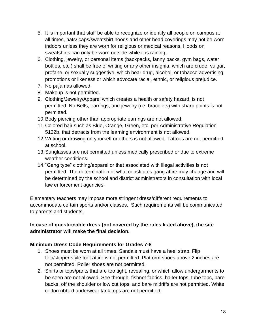- 5. It is important that staff be able to recognize or identify all people on campus at all times, hats/ caps/sweatshirt hoods and other head coverings may not be worn indoors unless they are worn for religious or medical reasons. Hoods on sweatshirts can only be worn outside while it is raining.
- 6. Clothing, jewelry, or personal items (backpacks, fanny packs, gym bags, water bottles, etc.) shall be free of writing or any other insignia, which are crude, vulgar, profane, or sexually suggestive, which bear drug, alcohol, or tobacco advertising, promotions or likeness or which advocate racial, ethnic, or religious prejudice.
- 7. No pajamas allowed.
- 8. Makeup is not permitted.
- 9. Clothing/Jewelry/Apparel which creates a health or safety hazard, is not permitted. No Belts, earrings, and jewelry (i.e. bracelets) with sharp points is not permitted.
- 10.Body piercing other than appropriate earrings are not allowed.
- 11.Colored hair such as Blue, Orange, Green, etc. per Administrative Regulation 5132b, that detracts from the learning environment is not allowed.
- 12.Writing or drawing on yourself or others is not allowed. Tattoos are not permitted at school.
- 13.Sunglasses are not permitted unless medically prescribed or due to extreme weather conditions.
- 14."Gang type" clothing/apparel or that associated with illegal activities is not permitted. The determination of what constitutes gang attire may change and will be determined by the school and district administrators in consultation with local law enforcement agencies.

Elementary teachers may impose more stringent dress/different requirements to accommodate certain sports and/or classes. Such requirements will be communicated to parents and students.

## **In case of questionable dress (not covered by the rules listed above), the site administrator will make the final decision.**

#### **Minimum Dress Code Requirements for Grades 7-8**

- 1. Shoes must be worn at all times. Sandals must have a heel strap. Flip flop/slipper style foot attire is not permitted. Platform shoes above 2 inches are not permitted. Roller shoes are not permitted.
- 2. Shirts or tops/pants that are too tight, revealing, or which allow undergarments to be seen are not allowed. See through, fishnet fabrics, halter tops, tube tops, bare backs, off the shoulder or low cut tops, and bare midriffs are not permitted. White cotton ribbed underwear tank tops are not permitted.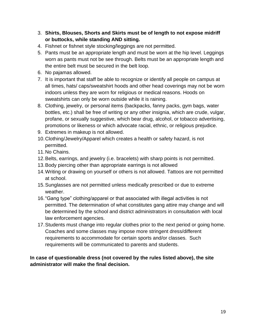- 3. **Shirts, Blouses, Shorts and Skirts must be of length to not expose midriff or buttocks, while standing AND sitting.**
- 4. Fishnet or fishnet style stocking/leggings are not permitted.
- 5. Pants must be an appropriate length and must be worn at the hip level. Leggings worn as pants must not be see through. Belts must be an appropriate length and the entire belt must be secured in the belt loop.
- 6. No pajamas allowed.
- 7. It is important that staff be able to recognize or identify all people on campus at all times, hats/ caps/sweatshirt hoods and other head coverings may not be worn indoors unless they are worn for religious or medical reasons. Hoods on sweatshirts can only be worn outside while it is raining.
- 8. Clothing, jewelry, or personal items (backpacks, fanny packs, gym bags, water bottles, etc.) shall be free of writing or any other insignia, which are crude, vulgar, profane, or sexually suggestive, which bear drug, alcohol, or tobacco advertising, promotions or likeness or which advocate racial, ethnic, or religious prejudice.
- 9. Extremes in makeup is not allowed.
- 10.Clothing/Jewelry/Apparel which creates a health or safety hazard, is not permitted.
- 11.No Chains.
- 12.Belts, earrings, and jewelry (i.e. bracelets) with sharp points is not permitted.
- 13.Body piercing other than appropriate earrings is not allowed
- 14.Writing or drawing on yourself or others is not allowed. Tattoos are not permitted at school.
- 15.Sunglasses are not permitted unless medically prescribed or due to extreme weather.
- 16."Gang type" clothing/apparel or that associated with illegal activities is not permitted. The determination of what constitutes gang attire may change and will be determined by the school and district administrators in consultation with local law enforcement agencies.
- 17.Students must change into regular clothes prior to the next period or going home. Coaches and some classes may impose more stringent dress/different requirements to accommodate for certain sports and/or classes. Such requirements will be communicated to parents and students.

**In case of questionable dress (not covered by the rules listed above), the site administrator will make the final decision.**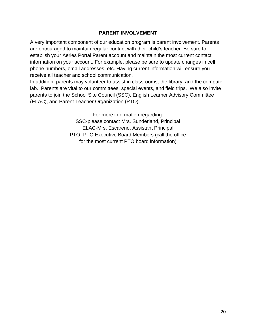#### **PARENT INVOLVEMENT**

<span id="page-20-0"></span>A very important component of our education program is parent involvement. Parents are encouraged to maintain regular contact with their child's teacher. Be sure to establish your Aeries Portal Parent account and maintain the most current contact information on your account. For example, please be sure to update changes in cell phone numbers, email addresses, etc. Having current information will ensure you receive all teacher and school communication.

In addition, parents may volunteer to assist in classrooms, the library, and the computer lab. Parents are vital to our committees, special events, and field trips. We also invite parents to join the School Site Council (SSC), English Learner Advisory Committee (ELAC), and Parent Teacher Organization (PTO).

> For more information regarding: SSC-please contact Mrs. Sunderland, Principal ELAC-Mrs. Escareno, Assistant Principal PTO- PTO Executive Board Members (call the office for the most current PTO board information)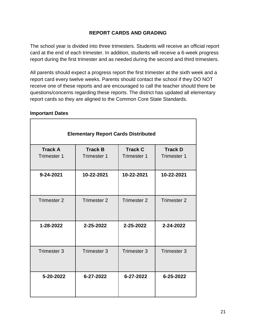## **REPORT CARDS AND GRADING**

The school year is divided into three trimesters. Students will receive an official report card at the end of each trimester. In addition, students will receive a 6-week progress report during the first trimester and as needed during the second and third trimesters.

All parents should expect a progress report the first trimester at the sixth week and a report card every twelve weeks. Parents should contact the school if they DO NOT receive one of these reports and are encouraged to call the teacher should there be questions/concerns regarding these reports. The district has updated all elementary report cards so they are aligned to the Common Core State Standards.

#### <span id="page-21-0"></span>**Important Dates**

| <b>Elementary Report Cards Distributed</b> |                    |                    |                        |
|--------------------------------------------|--------------------|--------------------|------------------------|
| <b>Track A</b>                             | <b>Track B</b>     | <b>Track C</b>     | <b>Track D</b>         |
| <b>Trimester 1</b>                         | <b>Trimester 1</b> | Trimester 1        | <b>Trimester 1</b>     |
| 9-24-2021                                  | 10-22-2021         | 10-22-2021         | 10-22-2021             |
| Trimester 2                                | Trimester 2        | <b>Trimester 2</b> | Trimester 2            |
| 1-28-2022                                  | 2-25-2022          | 2-25-2022          | 2-24-2022              |
| Trimester 3                                | <b>Trimester 3</b> | <b>Trimester 3</b> | Trimester <sub>3</sub> |
| 5-20-2022                                  | 6-27-2022          | 6-27-2022          | 6-25-2022              |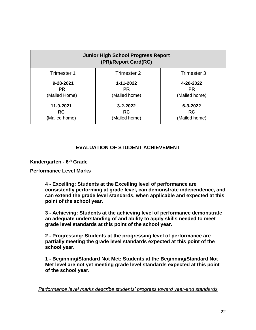| <b>Junior High School Progress Report</b><br>(PR)/Report Card(RC) |                |                |
|-------------------------------------------------------------------|----------------|----------------|
| Trimester 1                                                       | Trimester 2    | Trimester 3    |
| 9-28-2021                                                         | 1-11-2022      | 4-20-2022      |
| <b>PR</b>                                                         | <b>PR</b>      | <b>PR</b>      |
| (Mailed Home)                                                     | (Mailed home)  | (Mailed home)  |
| 11-9-2021                                                         | $3 - 2 - 2022$ | $6 - 3 - 2022$ |
| <b>RC</b>                                                         | <b>RC</b>      | <b>RC</b>      |
| (Mailed home)                                                     | (Mailed home)  | (Mailed home)  |

#### **EVALUATION OF STUDENT ACHIEVEMENT**

#### <span id="page-22-1"></span><span id="page-22-0"></span>**Kindergarten - 6 th Grade**

#### **Performance Level Marks**

**4 - Excelling: Students at the Excelling level of performance are consistently performing at grade level, can demonstrate independence, and can extend the grade level standards, when applicable and expected at this point of the school year.**

**3 - Achieving: Students at the achieving level of performance demonstrate an adequate understanding of and ability to apply skills needed to meet grade level standards at this point of the school year.**

**2 - Progressing: Students at the progressing level of performance are partially meeting the grade level standards expected at this point of the school year.**

**1 - Beginning/Standard Not Met: Students at the Beginning/Standard Not Met level are not yet meeting grade level standards expected at this point of the school year.**

*Performance level marks describe students' progress toward year-end standards*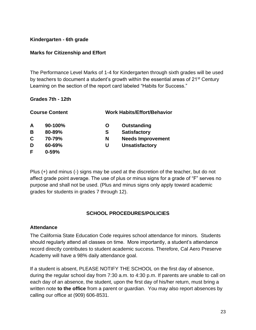#### **Kindergarten - 6th grade**

#### **Marks for Citizenship and Effort**

The Performance Level Marks of 1-4 for Kindergarten through sixth grades will be used by teachers to document a student's growth within the essential areas of  $21^{st}$  Century Learning on the section of the report card labeled "Habits for Success."

#### **Grades 7th - 12th**

|   | <b>Course Content</b> |   | <b>Work Habits/Effort/Behavior</b> |
|---|-----------------------|---|------------------------------------|
| A | 90-100%               | O | Outstanding                        |
| B | 80-89%                | S | <b>Satisfactory</b>                |
| C | 70-79%                | N | <b>Needs Improvement</b>           |
| D | 60-69%                | U | <b>Unsatisfactory</b>              |
| F | $0 - 59%$             |   |                                    |

Plus (+) and minus (-) signs may be used at the discretion of the teacher, but do not affect grade point average. The use of plus or minus signs for a grade of "F" serves no purpose and shall not be used. (Plus and minus signs only apply toward academic grades for students in grades 7 through 12).

#### **SCHOOL PROCEDURES/POLICIES**

#### <span id="page-23-1"></span><span id="page-23-0"></span>**Attendance**

The California State Education Code requires school attendance for minors. Students should regularly attend all classes on time. More importantly, a student's attendance record directly contributes to student academic success. Therefore, Cal Aero Preserve Academy will have a 98% daily attendance goal.

If a student is absent, PLEASE NOTIFY THE SCHOOL on the first day of absence, during the regular school day from 7:30 a.m. to 4:30 p.m. If parents are unable to call on each day of an absence, the student, upon the first day of his/her return, must bring a written note **to the office** from a parent or guardian. You may also report absences by calling our office at (909) 606-8531.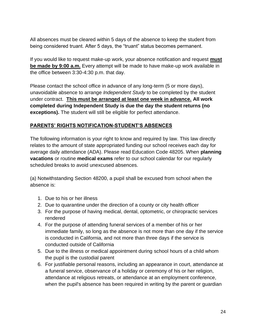All absences must be cleared within 5 days of the absence to keep the student from being considered truant. After 5 days, the "truant" status becomes permanent.

If you would like to request make-up work, your absence notification and request **must be made by 9:00 a.m.** Every attempt will be made to have make-up work available in the office between 3:30-4:30 p.m. that day.

Please contact the school office in advance of any long-term (5 or more days), unavoidable absence to arrange *Independent Study* to be completed by the student under contract. **This must be arranged at least one week in advance. All work completed during Independent Study is due the day the student returns (no exceptions).** The student will still be eligible for perfect attendance.

#### **PARENTS' RIGHTS NOTIFICATION-STUDENT'S ABSENCES**

The following information is your right to know and required by law. This law directly relates to the amount of state appropriated funding our school receives each day for average daily attendance (ADA). Please read Education Code 48205. When **planning vacations** or routine **medical exams** refer to our school calendar for our regularly scheduled breaks to avoid unexcused absences.

(a) Notwithstanding Section 48200, a pupil shall be excused from school when the absence is:

- 1. Due to his or her illness
- 2. Due to quarantine under the direction of a county or city health officer
- 3. For the purpose of having medical, dental, optometric, or chiropractic services rendered
- 4. For the purpose of attending funeral services of a member of his or her immediate family, so long as the absence is not more than one day if the service is conducted in California, and not more than three days if the service is conducted outside of California
- 5. Due to the illness or medical appointment during school hours of a child whom the pupil is the custodial parent
- 6. For justifiable personal reasons, including an appearance in court, attendance at a funeral service, observance of a holiday or ceremony of his or her religion, attendance at religious retreats, or attendance at an employment conference, when the pupil's absence has been required in writing by the parent or guardian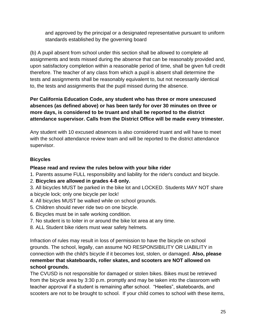and approved by the principal or a designated representative pursuant to uniform standards established by the governing board

(b) A pupil absent from school under this section shall be allowed to complete all assignments and tests missed during the absence that can be reasonably provided and, upon satisfactory completion within a reasonable period of time, shall be given full credit therefore. The teacher of any class from which a pupil is absent shall determine the tests and assignments shall be reasonably equivalent to, but not necessarily identical to, the tests and assignments that the pupil missed during the absence.

## **Per California Education Code, any student who has three or more unexcused absences (as defined above) or has been tardy for over 30 minutes on three or more days, is considered to be truant and shall be reported to the district attendance supervisor. Calls from the District Office will be made every trimester.**

Any student with 10 excused absences is also considered truant and will have to meet with the school attendance review team and will be reported to the district attendance supervisor.

## <span id="page-25-0"></span>**Bicycles**

#### **Please read and review the rules below with your bike rider**

- 1. Parents assume FULL responsibility and liability for the rider's conduct and bicycle.
- 2. **Bicycles are allowed in grades 4-8 only.**
- 3. All bicycles MUST be parked in the bike lot and LOCKED. Students MAY NOT share a bicycle lock; only one bicycle per lock!
- 4. All bicycles MUST be walked while on school grounds.
- 5. Children should never ride two on one bicycle.
- 6. Bicycles must be in safe working condition.
- 7. No student is to loiter in or around the bike lot area at any time.
- 8. ALL Student bike riders must wear safety helmets.

Infraction of rules may result in loss of permission to have the bicycle on school grounds. The school, legally, can assume NO RESPONSIBILITY OR LIABILITY in connection with the child's bicycle if it becomes lost, stolen, or damaged. **Also, please remember that skateboards, roller skates, and scooters are NOT allowed on school grounds.**

The CVUSD is not responsible for damaged or stolen bikes. Bikes must be retrieved from the bicycle area by 3:30 p.m. promptly and may be taken into the classroom with teacher approval if a student is remaining after school. "Heelies", skateboards, and scooters are not to be brought to school. If your child comes to school with these items,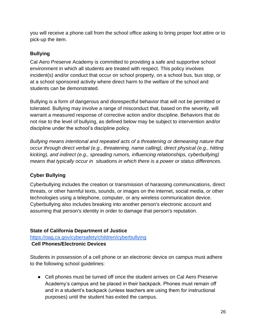you will receive a phone call from the school office asking to bring proper foot attire or to pick-up the item.

## <span id="page-26-0"></span>**Bullying**

Cal Aero Preserve Academy is committed to providing a safe and supportive school environment in which all students are treated with respect. This policy involves incident(s) and/or conduct that occur on school property, on a school bus, bus stop, or at a school sponsored activity where direct harm to the welfare of the school and students can be demonstrated.

Bullying is a form of dangerous and disrespectful behavior that will not be permitted or tolerated. Bullying may involve a range of misconduct that, based on the severity, will warrant a measured response of corrective action and/or discipline. Behaviors that do not rise to the level of bullying, as defined below may be subject to intervention and/or discipline under the school's discipline policy.

*Bullying means intentional and repeated acts of a threatening or demeaning nature that occur through direct verbal (e.g., threatening, name calling), direct physical (e.g., hitting kicking), and indirect (e.g., spreading rumors, influencing relationships, cyberbullying) means that typically occur in situations in which there is a power or status differences.* 

## <span id="page-26-1"></span>**Cyber Bullying**

Cyberbullying includes the creation or transmission of harassing communications, direct threats, or other harmful texts, sounds, or images on the internet, social media, or other technologies using a telephone, computer, or any wireless communication device. Cyberbullying also includes breaking into another person's electronic account and assuming that person's identity in order to damage that person's reputation.

## **State of California Department of Justice**

<https://oag.ca.gov/cybersafety/children/cyberbullying>

## **Cell Phones/Electronic Devices**

Students in possession of a cell phone or an electronic device on campus must adhere to the following school guidelines:

● Cell phones must be turned off once the student arrives on Cal Aero Preserve Academy's campus and be placed in their backpack. Phones must remain off and in a student's backpack (unless teachers are using them for instructional purposes) until the student has exited the campus.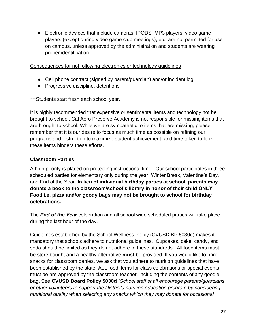● Electronic devices that include cameras, IPODS, MP3 players, video game players (except during video game club meetings), etc. are not permitted for use on campus, unless approved by the administration and students are wearing proper identification.

#### Consequences for not following electronics or technology guidelines

- Cell phone contract (signed by parent/guardian) and/or incident log
- Progressive discipline, detentions.

\*\*\*Students start fresh each school year.

It is highly recommended that expensive or sentimental items and technology not be brought to school. Cal Aero Preserve Academy is not responsible for missing items that are brought to school. While we are sympathetic to items that are missing, please remember that it is our desire to focus as much time as possible on refining our programs and instruction to maximize student achievement, and time taken to look for these items hinders these efforts.

## <span id="page-27-0"></span>**Classroom Parties**

A high priority is placed on protecting instructional time. Our school participates in three scheduled parties for elementary only during the year: Winter Break, Valentine's Day, and End of the Year**. In lieu of individual birthday parties at school, parents may donate a book to the classroom/school's library in honor of their child ONLY. Food i.e. pizza and/or goody bags may not be brought to school for birthday celebrations.**

The *End of the Year* celebration and all school wide scheduled parties will take place during the last hour of the day.

Guidelines established by the School Wellness Policy (CVUSD BP 5030d) makes it mandatory that schools adhere to nutritional guidelines. Cupcakes, cake, candy, and soda should be limited as they do not adhere to these standards. All food items must be store bought and a healthy alternative **must** be provided. If you would like to bring snacks for classroom parties, we ask that you adhere to nutrition guidelines that have been established by the state. ALL food items for class celebrations or special events must be pre-approved by the classroom teacher, including the contents of any goodie bag. See **CVUSD Board Policy 5030d** "*School staff shall encourage parents/guardians or other volunteers to support the District's nutrition education program by considering nutritional quality when selecting any snacks which they may donate for occasional*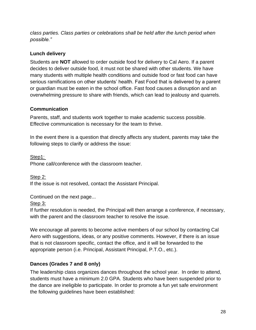*class parties. Class parties or celebrations shall be held after the lunch period when possible."* 

## <span id="page-28-0"></span>**Lunch delivery**

Students are **NOT** allowed to order outside food for delivery to Cal Aero. If a parent decides to deliver outside food, it must not be shared with other students. We have many students with multiple health conditions and outside food or fast food can have serious ramifications on other students' health. Fast Food that is delivered by a parent or guardian must be eaten in the school office. Fast food causes a disruption and an overwhelming pressure to share with friends, which can lead to jealousy and quarrels.

#### <span id="page-28-1"></span>**Communication**

Parents, staff, and students work together to make academic success possible. Effective communication is necessary for the team to thrive.

In the event there is a question that directly affects any student, parents may take the following steps to clarify or address the issue:

Step1: Phone call/conference with the classroom teacher.

Step 2: If the issue is not resolved, contact the Assistant Principal.

Continued on the next page...

## Step 3:

If further resolution is needed, the Principal will then arrange a conference, if necessary, with the parent and the classroom teacher to resolve the issue.

We encourage all parents to become active members of our school by contacting Cal Aero with suggestions, ideas, or any positive comments. However, if there is an issue that is not classroom specific, contact the office, and it will be forwarded to the appropriate person (i.e. Principal, Assistant Principal, P.T.O., etc.).

## <span id="page-28-2"></span>**Dances (Grades 7 and 8 only)**

The leadership class organizes dances throughout the school year. In order to attend, students must have a minimum 2.0 GPA. Students who have been suspended prior to the dance are ineligible to participate. In order to promote a fun yet safe environment the following guidelines have been established: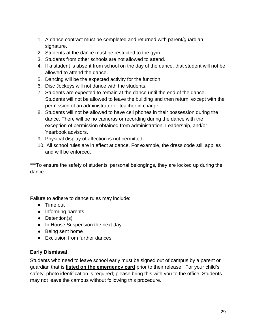- 1. A dance contract must be completed and returned with parent/guardian signature.
- 2. Students at the dance must be restricted to the gym.
- 3. Students from other schools are not allowed to attend.
- 4. If a student is absent from school on the day of the dance, that student will not be allowed to attend the dance.
- 5. Dancing will be the expected activity for the function.
- 6. Disc Jockeys will not dance with the students.
- 7. Students are expected to remain at the dance until the end of the dance. Students will not be allowed to leave the building and then return, except with the permission of an administrator or teacher in charge.
- 8. Students will not be allowed to have cell phones in their possession during the dance. There will be no cameras or recording during the dance with the exception of permission obtained from administration, Leadership, and/or Yearbook advisors.
- 9. Physical display of affection is not permitted.
- 10. All school rules are in effect at dance. For example, the dress code still applies and will be enforced.

\*\*\*To ensure the safety of students' personal belongings, they are locked up during the dance.

Failure to adhere to dance rules may include:

- Time out
- Informing parents
- Detention(s)
- In House Suspension the next day
- Being sent home
- Exclusion from further dances

#### <span id="page-29-0"></span>**Early Dismissal**

Students who need to leave school early must be signed out of campus by a parent or guardian that is **listed on the emergency card** prior to their release. For your child's safety, photo identification is required; please bring this with you to the office. Students may not leave the campus without following this procedure.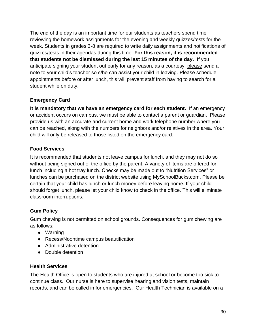The end of the day is an important time for our students as teachers spend time reviewing the homework assignments for the evening and weekly quizzes/tests for the week. Students in grades 3-8 are required to write daily assignments and notifications of quizzes/tests in their agendas during this time. **For this reason, it is recommended that students not be dismissed during the last 15 minutes of the day.** If you anticipate signing your student out early for any reason, as a courtesy, please send a note to your child's teacher so s/he can assist your child in leaving. Please schedule appointments before or after lunch, this will prevent staff from having to search for a student while on duty.

## <span id="page-30-0"></span>**Emergency Card**

**It is mandatory that we have an emergency card for each student.** If an emergency or accident occurs on campus, we must be able to contact a parent or guardian. Please provide us with an accurate and current home and work telephone number where you can be reached, along with the numbers for neighbors and/or relatives in the area. Your child will only be released to those listed on the emergency card.

## <span id="page-30-1"></span>**Food Services**

It is recommended that students not leave campus for lunch, and they may not do so without being signed out of the office by the parent. A variety of items are offered for lunch including a hot tray lunch. Checks may be made out to "Nutrition Services" or lunches can be purchased on the district website using MySchoolBucks.com. Please be certain that your child has lunch or lunch money before leaving home. If your child should forget lunch, please let your child know to check in the office. This will eliminate classroom interruptions.

## <span id="page-30-2"></span>**Gum Policy**

Gum chewing is not permitted on school grounds. Consequences for gum chewing are as follows:

- Warning
- Recess/Noontime campus beautification
- Administrative detention
- Double detention

#### <span id="page-30-3"></span>**Health Services**

The Health Office is open to students who are injured at school or become too sick to continue class. Our nurse is here to supervise hearing and vision tests, maintain records, and can be called in for emergencies. Our Health Technician is available on a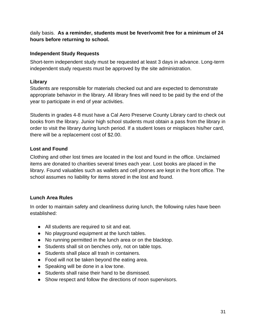daily basis. **As a reminder, students must be fever/vomit free for a minimum of 24 hours before returning to school.**

## <span id="page-31-0"></span>**Independent Study Requests**

Short-term independent study must be requested at least 3 days in advance. Long-term independent study requests must be approved by the site administration.

## **Library**

Students are responsible for materials checked out and are expected to demonstrate appropriate behavior in the library. All library fines will need to be paid by the end of the year to participate in end of year activities.

Students in grades 4-8 must have a Cal Aero Preserve County Library card to check out books from the library. Junior high school students must obtain a pass from the library in order to visit the library during lunch period. If a student loses or misplaces his/her card, there will be a replacement cost of \$2.00.

## <span id="page-31-1"></span>**Lost and Found**

Clothing and other lost times are located in the lost and found in the office. Unclaimed items are donated to charities several times each year. Lost books are placed in the library. Found valuables such as wallets and cell phones are kept in the front office. The school assumes no liability for items stored in the lost and found.

## <span id="page-31-2"></span>**Lunch Area Rules**

In order to maintain safety and cleanliness during lunch, the following rules have been established:

- All students are required to sit and eat.
- No playground equipment at the lunch tables.
- No running permitted in the lunch area or on the blacktop.
- Students shall sit on benches only, not on table tops.
- Students shall place all trash in containers.
- Food will not be taken beyond the eating area.
- Speaking will be done in a low tone.
- Students shall raise their hand to be dismissed.
- Show respect and follow the directions of noon supervisors.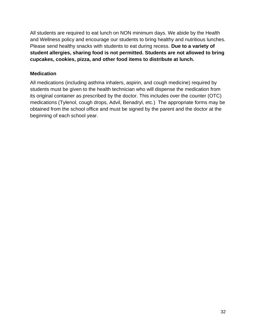All students are required to eat lunch on NON minimum days. We abide by the Health and Wellness policy and encourage our students to bring healthy and nutritious lunches. Please send healthy snacks with students to eat during recess. **Due to a variety of student allergies, sharing food is not permitted. Students are not allowed to bring cupcakes, cookies, pizza, and other food items to distribute at lunch.**

#### <span id="page-32-0"></span>**Medication**

All medications (including asthma inhalers, aspirin, and cough medicine) required by students must be given to the health technician who will dispense the medication from its original container as prescribed by the doctor. This includes over the counter (OTC) medications (Tylenol, cough drops, Advil, Benadryl, etc.) The appropriate forms may be obtained from the school office and must be signed by the parent and the doctor at the beginning of each school year.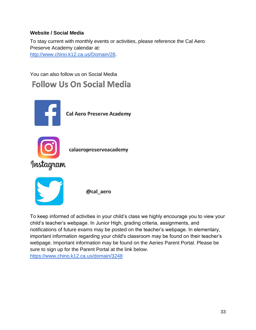## <span id="page-33-0"></span>**Website / Social Media**

To stay current with monthly events or activities, please reference the Cal Aero Preserve Academy calendar at: [http://www.chino.k12.ca.us/Domain/28.](http://www.chino.k12.ca.us/Domain/28)

You can also follow us on Social Media **Follow Us On Social Media** 



To keep informed of activities in your child's class we highly encourage you to view your child's teacher's webpage. In Junior High, grading criteria, assignments, and notifications of future exams may be posted on the teacher's webpage. In elementary, important information regarding your child's classroom may be found on their teacher's webpage. Important information may be found on the Aeries Parent Portal. Please be sure to sign up for the Parent Portal at the link below. <https://www.chino.k12.ca.us/domain/3248>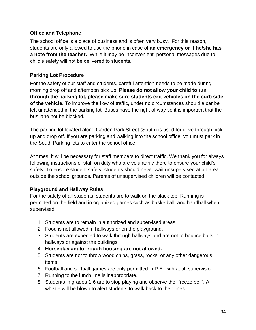#### <span id="page-34-0"></span>**Office and Telephone**

The school office is a place of business and is often very busy. For this reason, students are only allowed to use the phone in case of **an emergency or if he/she has a note from the teacher.** While it may be inconvenient, personal messages due to child's safety will not be delivered to students.

## <span id="page-34-1"></span>**Parking Lot Procedure**

For the safety of our staff and students, careful attention needs to be made during morning drop off and afternoon pick up. **Please do not allow your child to run through the parking lot, please make sure students exit vehicles on the curb side of the vehicle.** To improve the flow of traffic, under no circumstances should a car be left unattended in the parking lot. Buses have the right of way so it is important that the bus lane not be blocked.

The parking lot located along Garden Park Street (South) is used for drive through pick up and drop off. If you are parking and walking into the school office, you must park in the South Parking lots to enter the school office.

At times, it will be necessary for staff members to direct traffic. We thank you for always following instructions of staff on duty who are voluntarily there to ensure your child's safety. To ensure student safety, students should never wait unsupervised at an area outside the school grounds. Parents of unsupervised children will be contacted.

## **Playground and Hallway Rules**

For the safety of all students, students are to walk on the black top. Running is permitted on the field and in organized games such as basketball, and handball when supervised.

- 1. Students are to remain in authorized and supervised areas.
- 2. Food is not allowed in hallways or on the playground.
- 3. Students are expected to walk through hallways and are not to bounce balls in hallways or against the buildings.
- 4. **Horseplay and/or rough housing are not allowed.**
- 5. Students are not to throw wood chips, grass, rocks, or any other dangerous items.
- 6. Football and softball games are only permitted in P.E. with adult supervision.
- 7. Running to the lunch line is inappropriate.
- 8. Students in grades 1-6 are to stop playing and observe the "freeze bell". A whistle will be blown to alert students to walk back to their lines.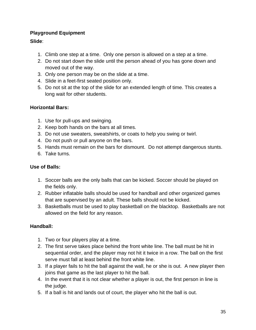## <span id="page-35-0"></span>**Playground Equipment**

## **Slide**:

- 1. Climb one step at a time. Only one person is allowed on a step at a time.
- 2. Do not start down the slide until the person ahead of you has gone down and moved out of the way.
- 3. Only one person may be on the slide at a time.
- 4. Slide in a feet-first seated position only.
- 5. Do not sit at the top of the slide for an extended length of time. This creates a long wait for other students.

## **Horizontal Bars:**

- 1. Use for pull-ups and swinging.
- 2. Keep both hands on the bars at all times.
- 3. Do not use sweaters, sweatshirts, or coats to help you swing or twirl.
- 4. Do not push or pull anyone on the bars.
- 5. Hands must remain on the bars for dismount. Do not attempt dangerous stunts.
- 6. Take turns.

## **Use of Balls:**

- 1. Soccer balls are the only balls that can be kicked. Soccer should be played on the fields only.
- 2. Rubber inflatable balls should be used for handball and other organized games that are supervised by an adult. These balls should not be kicked.
- 3. Basketballs must be used to play basketball on the blacktop. Basketballs are not allowed on the field for any reason.

## **Handball:**

- 1. Two or four players play at a time.
- 2. The first serve takes place behind the front white line. The ball must be hit in sequential order, and the player may not hit it twice in a row. The ball on the first serve must fall at least behind the front white line.
- 3. If a player fails to hit the ball against the wall, he or she is out. A new player then joins that game as the last player to hit the ball.
- 4. In the event that it is not clear whether a player is out, the first person in line is the judge.
- 5. If a ball is hit and lands out of court, the player who hit the ball is out.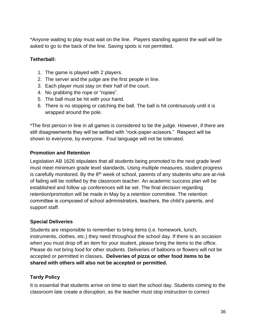\*Anyone waiting to play must wait on the line. Players standing against the wall will be asked to go to the back of the line. Saving spots is not permitted.

#### **Tetherball:**

- 1. The game is played with 2 players.
- 2. The server and the judge are the first people in line.
- 3. Each player must stay on their half of the court.
- 4. No grabbing the rope or "ropies".
- 5. The ball must be hit with your hand.
- 6. There is no stopping or catching the ball. The ball is hit continuously until it is wrapped around the pole.

\*The first person in line in all games is considered to be the judge. However, if there are still disagreements they will be settled with "rock-paper-scissors." Respect will be shown to everyone, by everyone. Foul language will not be tolerated.

## <span id="page-36-0"></span>**Promotion and Retention**

Legislation AB 1626 stipulates that all students being promoted to the next grade level must meet minimum grade level standards. Using multiple measures, student progress is carefully monitored. By the  $8<sup>th</sup>$  week of school, parents of any students who are at-risk of failing will be notified by the classroom teacher. An academic success plan will be established and follow up conferences will be set. The final decision regarding retention/promotion will be made in May by a retention committee. The retention committee is composed of school administrators, teachers, the child's parents, and support staff.

## <span id="page-36-1"></span>**Special Deliveries**

Students are responsible to remember to bring items (i.e. homework, lunch, instruments, clothes, etc.) they need throughout the school day. If there is an occasion when you must drop off an item for your student, please bring the items to the office. Please do not bring food for other students. Deliveries of balloons or flowers will not be accepted or permitted in classes**. Deliveries of pizza or other food items to be shared with others will also not be accepted or permitted.**

## <span id="page-36-2"></span>**Tardy Policy**

It is essential that students arrive on time to start the school day. Students coming to the classroom late create a disruption, as the teacher must stop instruction to correct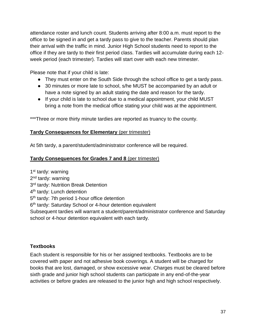attendance roster and lunch count. Students arriving after 8:00 a.m. must report to the office to be signed in and get a tardy pass to give to the teacher. Parents should plan their arrival with the traffic in mind. Junior High School students need to report to the office if they are tardy to their first period class. Tardies will accumulate during each 12 week period (each trimester). Tardies will start over with each new trimester.

Please note that if your child is late:

- They must enter on the South Side through the school office to get a tardy pass.
- 30 minutes or more late to school, s/he MUST be accompanied by an adult or have a note signed by an adult stating the date and reason for the tardy.
- If your child is late to school due to a medical appointment, your child MUST bring a note from the medical office stating your child was at the appointment.

\*\*\*Three or more thirty minute tardies are reported as truancy to the county.

#### **Tardy Consequences for Elementary** (per trimester)

At 5th tardy, a parent/student/administrator conference will be required.

#### **Tardy Consequences for Grades 7 and 8** (per trimester)

1<sup>st</sup> tardy: warning 2<sup>nd</sup> tardy: warning 3<sup>rd</sup> tardy: Nutrition Break Detention 4<sup>th</sup> tardy: Lunch detention 5<sup>th</sup> tardy: 7th period 1-hour office detention 6<sup>th</sup> tardy: Saturday School or 4-hour detention equivalent Subsequent tardies will warrant a student/parent/administrator conference and Saturday school or 4-hour detention equivalent with each tardy.

#### <span id="page-37-0"></span>**Textbooks**

Each student is responsible for his or her assigned textbooks. Textbooks are to be covered with paper and not adhesive book coverings. A student will be charged for books that are lost, damaged, or show excessive wear. Charges must be cleared before sixth grade and junior high school students can participate in any end-of-the-year activities or before grades are released to the junior high and high school respectively.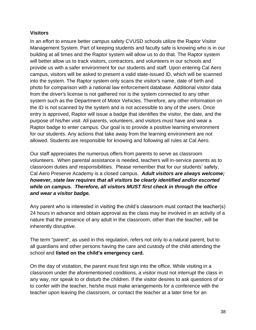#### <span id="page-38-0"></span>**Visitors**

In an effort to ensure better campus safety CVUSD schools utilize the Raptor Visitor Management System. Part of keeping students and faculty safe is knowing who is in our building at all times and the Raptor system will allow us to do that. The Raptor system will better allow us to track visitors, contractors, and volunteers in our schools and provide us with a safer environment for our students and staff. Upon entering Cal Aero campus, visitors will be asked to present a valid state-issued ID, which will be scanned into the system. The Raptor system only scans the visitor's name, date of birth and photo for comparison with a national law enforcement database. Additional visitor data from the driver's license is not gathered nor is the system connected to any other system such as the Department of Motor Vehicles. Therefore, any other information on the ID is not scanned by the system and is not accessible to any of the users. Once entry is approved, Raptor will issue a badge that identifies the visitor, the date, and the purpose of his/her visit. All parents, volunteers, and visitors must have and wear a Raptor badge to enter campus. Our goal is to provide a positive learning environment for our students. Any actions that take away from the learning environment are not allowed. Students are responsible for knowing and following all rules at Cal Aero.

Our staff appreciates the numerous offers from parents to serve as classroom volunteers. When parental assistance is needed, teachers will in-service parents as to classroom duties and responsibilities. Please remember that for our students' safety, Cal Aero Preserve Academy is a closed campus. *Adult visitors are always welcome; however, state law requires that all visitors be clearly identified and/or escorted while on campus. Therefore, all visitors MUST first check in through the office and wear a visitor badge.*

Any parent who is interested in visiting the child's classroom must contact the teacher(s) 24 hours in advance and obtain approval as the class may be involved in an activity of a nature that the presence of any adult in the classroom, other than the teacher, will be inherently disruptive.

The term "parent", as used in this regulation, refers not only to a natural parent, but to all guardians and other persons having the care and custody of the child attending the school and **listed on the child's emergency card.**

On the day of visitation, the parent must first sign into the office. While visiting in a classroom under the aforementioned conditions, a visitor must not interrupt the class in any way, nor speak to or disturb the children. If the visitor desires to ask questions of or to confer with the teacher, he/she must make arrangements for a conference with the teacher upon leaving the classroom, or contact the teacher at a later time for an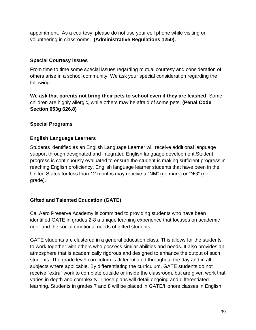appointment. As a courtesy, please do not use your cell phone while visiting or volunteering in classrooms. **(Administrative Regulations 1250).**

## <span id="page-39-0"></span>**Special Courtesy issues**

From time to time some special issues regarding mutual courtesy and consideration of others arise in a school community. We ask your special consideration regarding the following:

**We ask that parents not bring their pets to school even if they are leashed**. Some children are highly allergic, while others may be afraid of some pets. **(Penal Code Section 653g 626.8)**

## <span id="page-39-1"></span>**Special Programs**

## <span id="page-39-2"></span>**English Language Learners**

Students identified as an English Language Learner will receive additional language support through designated and integrated English language development.Student progress is continuously evaluated to ensure the student is making sufficient progress in reaching English proficiency. English language learner students that have been in the United States for less than 12 months may receive a "NM" (no mark) or "NG" (no grade).

## **Gifted and Talented Education (GATE)**

Cal Aero Preserve Academy is committed to providing students who have been identified GATE in grades 2-8 a unique learning experience that focuses on academic rigor and the social emotional needs of gifted students.

GATE students are clustered in a general education class. This allows for the students to work together with others who possess similar abilities and needs. It also provides an atmosphere that is academically rigorous and designed to enhance the output of such students. The grade level curriculum is differentiated throughout the day and in all subjects where applicable. By differentiating the curriculum, GATE students do not receive "extra" work to complete outside or inside the classroom, but are given work that varies in depth and complexity. These plans will detail ongoing and differentiated learning. Students in grades 7 and 8 will be placed in GATE/Honors classes in English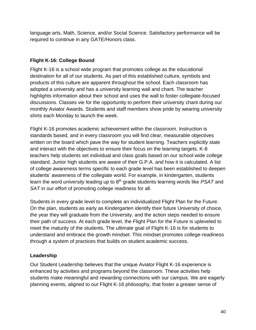language arts, Math, Science, and/or Social Science. Satisfactory performance will be required to continue in any GATE/Honors class.

## <span id="page-40-0"></span>**Flight K-16: College Bound**

Flight K-16 is a school wide program that promotes college as the educational destination for all of our students. As part of this established culture, symbols and products of this culture are apparent throughout the school. Each classroom has adopted a university and has a university learning wall and chant. The teacher highlights information about their school and uses the wall to foster collegiate-focused discussions. Classes vie for the opportunity to perform their university chant during our monthly Aviator Awards. Students and staff members show pride by wearing university shirts each Monday to launch the week.

Flight K-16 promotes academic achievement within the classroom. Instruction is standards based, and in every classroom you will find clear, measurable objectives written on the board which pave the way for student learning. Teachers explicitly state and interact with the objectives to ensure their focus on the learning targets. K-8 teachers help students set individual and class goals based on our school wide college standard. Junior high students are aware of their G.P.A. and how it is calculated. A list of college awareness terms specific to each grade level has been established to deepen students' awareness of the collegiate world. For example, in kindergarten, students learn the word *university* leading up to 8th grade students learning words like *PSAT* and *SAT* in our effort of promoting college readiness for all.

Students in every grade level to complete an individualized Flight Plan for the Future. On the plan, students as early as Kindergarten identify their future University of choice, the year they will graduate from the University, and the action steps needed to ensure their path of success. At each grade level, the Flight Plan for the Future is upleveled to meet the maturity of the students. The ultimate goal of Flight K-16 is for students to understand and embrace the growth mindset. This mindset promotes college-readiness through a system of practices that builds on student academic success.

## <span id="page-40-1"></span>**Leadership**

Our Student Leadership believes that the unique Aviator Flight K-16 experience is enhanced by activities and programs beyond the classroom. These activities help students make meaningful and rewarding connections with our campus. We are eagerly planning events, aligned to our Flight K-16 philosophy, that foster a greater sense of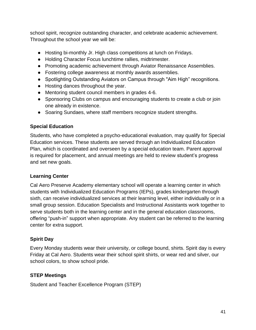school spirit, recognize outstanding character, and celebrate academic achievement. Throughout the school year we will be:

- Hosting bi-monthly Jr. High class competitions at lunch on Fridays.
- Holding Character Focus lunchtime rallies, midtrimester.
- Promoting academic achievement through Aviator Renaissance Assemblies.
- Fostering college awareness at monthly awards assemblies.
- Spotlighting Outstanding Aviators on Campus through "Aim High" recognitions.
- Hosting dances throughout the year.
- Mentoring student council members in grades 4-6.
- Sponsoring Clubs on campus and encouraging students to create a club or join one already in existence.
- Soaring Sundaes, where staff members recognize student strengths.

## <span id="page-41-0"></span>**Special Education**

Students, who have completed a psycho-educational evaluation, may qualify for Special Education services. These students are served through an Individualized Education Plan, which is coordinated and overseen by a special education team. Parent approval is required for placement, and annual meetings are held to review student's progress and set new goals.

## <span id="page-41-1"></span>**Learning Center**

Cal Aero Preserve Academy elementary school will operate a learning center in which students with Individualized Education Programs (IEPs), grades kindergarten through sixth, can receive individualized services at their learning level, either individually or in a small group session. Education Specialists and Instructional Assistants work together to serve students both in the learning center and in the general education classrooms, offering "push-in" support when appropriate. Any student can be referred to the learning center for extra support.

## <span id="page-41-2"></span>**Spirit Day**

Every Monday students wear their university, or college bound, shirts. Spirit day is every Friday at Cal Aero. Students wear their school spirit shirts, or wear red and silver, our school colors, to show school pride.

#### <span id="page-41-3"></span>**STEP Meetings**

Student and Teacher Excellence Program (STEP)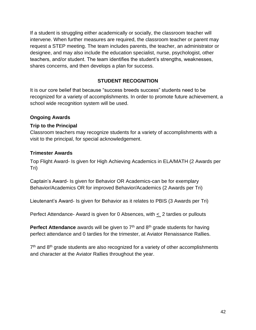If a student is struggling either academically or socially, the classroom teacher will intervene. When further measures are required, the classroom teacher or parent may request a STEP meeting. The team includes parents, the teacher, an administrator or designee, and may also include the education specialist, nurse, psychologist, other teachers, and/or student. The team identifies the student's strengths, weaknesses, shares concerns, and then develops a plan for success.

## **STUDENT RECOGNITION**

<span id="page-42-0"></span>It is our core belief that because "success breeds success" students need to be recognized for a variety of accomplishments. In order to promote future achievement, a school wide recognition system will be used.

#### <span id="page-42-1"></span>**Ongoing Awards**

#### **Trip to the Principal**

Classroom teachers may recognize students for a variety of accomplishments with a visit to the principal, for special acknowledgement.

#### <span id="page-42-2"></span>**Trimester Awards**

Top Flight Award- Is given for High Achieving Academics in ELA/MATH (2 Awards per Tri)

Captain's Award- Is given for Behavior OR Academics-can be for exemplary Behavior/Academics OR for improved Behavior/Academics (2 Awards per Tri)

Lieutenant's Award- Is given for Behavior as it relates to PBIS (3 Awards per Tri)

Perfect Attendance- Award is given for 0 Absences, with  $\leq$  2 tardies or pullouts

**Perfect Attendance** awards will be given to 7<sup>th</sup> and 8<sup>th</sup> grade students for having perfect attendance and 0 tardies for the trimester, at Aviator Renaissance Rallies.

 $7<sup>th</sup>$  and  $8<sup>th</sup>$  grade students are also recognized for a variety of other accomplishments and character at the Aviator Rallies throughout the year.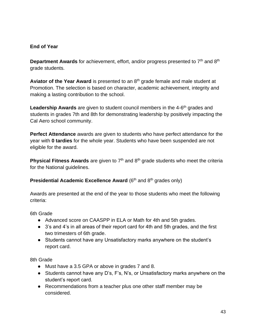## <span id="page-43-0"></span>**End of Year**

**Department Awards** for achievement, effort, and/or progress presented to 7<sup>th</sup> and 8<sup>th</sup> grade students.

**Aviator of the Year Award** is presented to an 8th grade female and male student at Promotion. The selection is based on character, academic achievement, integrity and making a lasting contribution to the school.

Leadership Awards are given to student council members in the 4-6<sup>th</sup> grades and students in grades 7th and 8th for demonstrating leadership by positively impacting the Cal Aero school community.

**Perfect Attendance** awards are given to students who have perfect attendance for the year with **0 tardies** for the whole year. Students who have been suspended are not eligible for the award.

**Physical Fitness Awards** are given to 7<sup>th</sup> and 8<sup>th</sup> grade students who meet the criteria for the National guidelines.

**Presidential Academic Excellence Award** (6<sup>th</sup> and 8<sup>th</sup> grades only)

Awards are presented at the end of the year to those students who meet the following criteria:

6th Grade

- Advanced score on CAASPP in ELA or Math for 4th and 5th grades.
- 3's and 4's in all areas of their report card for 4th and 5th grades, and the first two trimesters of 6th grade.
- Students cannot have any Unsatisfactory marks anywhere on the student's report card.

8th Grade

- Must have a 3.5 GPA or above in grades 7 and 8.
- Students cannot have any D's, F's, N's, or Unsatisfactory marks anywhere on the student's report card.
- Recommendations from a teacher plus one other staff member may be considered.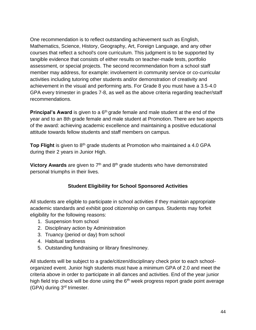One recommendation is to reflect outstanding achievement such as English, Mathematics, Science, History, Geography, Art, Foreign Language, and any other courses that reflect a school's core curriculum. This judgment is to be supported by tangible evidence that consists of either results on teacher-made tests, portfolio assessment, or special projects. The second recommendation from a school staff member may address, for example: involvement in community service or co-curricular activities including tutoring other students and/or demonstration of creativity and achievement in the visual and performing arts. For Grade 8 you must have a 3.5-4.0 GPA every trimester in grades 7-8, as well as the above criteria regarding teacher/staff recommendations.

**Principal's Award** is given to a 6<sup>th</sup> grade female and male student at the end of the year and to an 8th grade female and male student at Promotion. There are two aspects of the award: achieving academic excellence and maintaining a positive educational attitude towards fellow students and staff members on campus.

**Top Flight** is given to 8<sup>th</sup> grade students at Promotion who maintained a 4.0 GPA during their 2 years in Junior High.

<span id="page-44-0"></span>**Victory Awards** are given to 7<sup>th</sup> and 8<sup>th</sup> grade students who have demonstrated personal triumphs in their lives.

## **Student Eligibility for School Sponsored Activities**

All students are eligible to participate in school activities if they maintain appropriate academic standards and exhibit good citizenship on campus. Students may forfeit eligibility for the following reasons:

- 1. Suspension from school
- 2. Disciplinary action by Administration
- 3. Truancy (period or day) from school
- 4. Habitual tardiness
- 5. Outstanding fundraising or library fines/money.

All students will be subject to a grade/citizen/disciplinary check prior to each schoolorganized event. Junior high students must have a minimum GPA of 2.0 and meet the criteria above in order to participate in all dances and activities. End of the year junior high field trip check will be done using the  $6<sup>th</sup>$  week progress report grade point average (GPA) during 3rd trimester.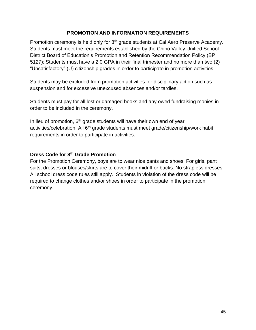#### **PROMOTION AND INFORMATION REQUIREMENTS**

<span id="page-45-0"></span>Promotion ceremony is held only for 8<sup>th</sup> grade students at Cal Aero Preserve Academy. Students must meet the requirements established by the Chino Valley Unified School District Board of Education's Promotion and Retention Recommendation Policy (BP 5127): Students must have a 2.0 GPA in their final trimester and no more than two (2) "Unsatisfactory" (U) citizenship grades in order to participate in promotion activities.

Students may be excluded from promotion activities for disciplinary action such as suspension and for excessive unexcused absences and/or tardies.

Students must pay for all lost or damaged books and any owed fundraising monies in order to be included in the ceremony.

In lieu of promotion,  $6<sup>th</sup>$  grade students will have their own end of year activities/celebration. All 6<sup>th</sup> grade students must meet grade/citizenship/work habit requirements in order to participate in activities.

## **Dress Code for 8th Grade Promotion**

For the Promotion Ceremony, boys are to wear nice pants and shoes. For girls, pant suits, dresses or blouses/skirts are to cover their midriff or backs. No strapless dresses. All school dress code rules still apply. Students in violation of the dress code will be required to change clothes and/or shoes in order to participate in the promotion ceremony.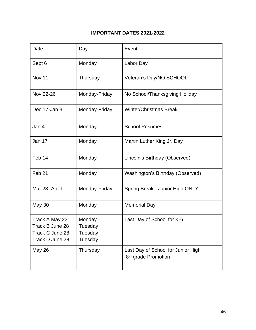## **IMPORTANT DATES 2021-2022**

| Date                                                                    | Day                                     | Event                                                                 |
|-------------------------------------------------------------------------|-----------------------------------------|-----------------------------------------------------------------------|
| Sept 6                                                                  | Monday                                  | Labor Day                                                             |
| <b>Nov 11</b>                                                           | Thursday                                | Veteran's Day/NO SCHOOL                                               |
| Nov 22-26                                                               | Monday-Friday                           | No School/Thanksgiving Holiday                                        |
| Dec 17-Jan 3                                                            | Monday-Friday                           | <b>Winter/Christmas Break</b>                                         |
| Jan 4                                                                   | Monday                                  | <b>School Resumes</b>                                                 |
| Jan 17                                                                  | Monday                                  | Martin Luther King Jr. Day                                            |
| Feb 14                                                                  | Monday                                  | Lincoln's Birthday (Observed)                                         |
| Feb <sub>21</sub>                                                       | Monday                                  | Washington's Birthday (Observed)                                      |
| Mar 28- Apr 1                                                           | Monday-Friday                           | Spring Break - Junior High ONLY                                       |
| May 30                                                                  | Monday                                  | <b>Memorial Day</b>                                                   |
| Track A May 23<br>Track B June 28<br>Track C June 28<br>Track D June 28 | Monday<br>Tuesday<br>Tuesday<br>Tuesday | Last Day of School for K-6                                            |
| May 26                                                                  | Thursday                                | Last Day of School for Junior High<br>8 <sup>th</sup> grade Promotion |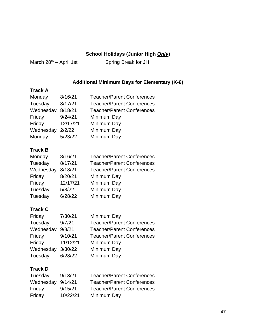## **School Holidays (Junior High** *Only***)**

<span id="page-47-1"></span>

<span id="page-47-0"></span>March  $28^{th}$  – April 1st Spring Break for JH

## **Additional Minimum Days for Elementary (K-6)**

## **Track A**

| Monday    | 8/16/21  | <b>Teacher/Parent Conferences</b> |
|-----------|----------|-----------------------------------|
| Tuesday   | 8/17/21  | <b>Teacher/Parent Conferences</b> |
| Wednesday | 8/18/21  | <b>Teacher/Parent Conferences</b> |
| Friday    | 9/24/21  | Minimum Day                       |
| Friday    | 12/17/21 | Minimum Day                       |
| Wednesday | 2/2/22   | Minimum Day                       |
| Monday    | 5/23/22  | Minimum Day                       |

## **Track B**

| 8/16/21  | <b>Teacher/Parent Conferences</b> |
|----------|-----------------------------------|
| 8/17/21  | <b>Teacher/Parent Conferences</b> |
| 8/18/21  | <b>Teacher/Parent Conferences</b> |
| 8/20/21  | Minimum Day                       |
| 12/17/21 | Minimum Day                       |
| 5/3/22   | Minimum Day                       |
| 6/28/22  | Minimum Day                       |
|          |                                   |

## **Track C**

| Friday    | 7/30/21  | Minimum Day                       |
|-----------|----------|-----------------------------------|
| Tuesday   | 9/7/21   | <b>Teacher/Parent Conferences</b> |
| Wednesday | 9/8/21   | <b>Teacher/Parent Conferences</b> |
| Friday    | 9/10/21  | <b>Teacher/Parent Conferences</b> |
| Friday    | 11/12/21 | Minimum Day                       |
| Wednesday | 3/30/22  | Minimum Day                       |
| Tuesday   | 6/28/22  | Minimum Day                       |

## **Track D**

| Tuesday           | 9/13/21  | <b>Teacher/Parent Conferences</b> |
|-------------------|----------|-----------------------------------|
| Wednesday 9/14/21 |          | <b>Teacher/Parent Conferences</b> |
| Friday            | 9/15/21  | <b>Teacher/Parent Conferences</b> |
| Friday            | 10/22/21 | Minimum Day                       |